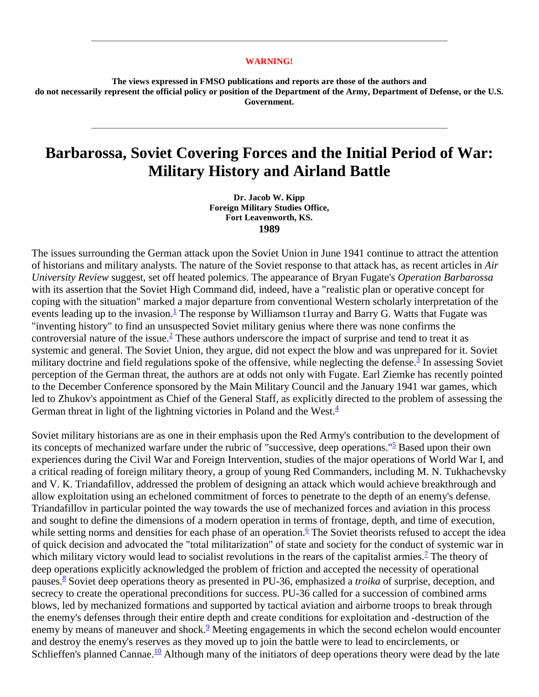## **WARNING!**

**The views expressed in FMSO publications and reports are those of the authors and do not necessarily represent the official policy or position of the Department of the Army, Department of Defense, or the U.S. Government.** 

## **Barbarossa, Soviet Covering Forces and the Initial Period of War: Military History and Airland Battle**

**Dr. Jacob W. Kipp Foreign Military Studies Office, Fort Leavenworth, KS. 1989**

The issues surrounding the German attack upon the Soviet Union in June 1941 continue to attract the attention of historians and military analysts. The nature of the Soviet response to that attack has, as recent articles in *Air University Review* suggest, set off heated polemics. The appearance of Bryan Fugate's *Operation Barbarossa* with its assertion that the Soviet High Command did, indeed, have a "realistic plan or operative concept for coping with the situation" marked a major departure from conventional Western scholarly interpretation of the events leading up to the invasion.<sup>1</sup> The response by Williamson t1urray and Barry G. Watts that Fugate was "inventing history" to find an unsuspected Soviet military genius where there was none confirms the controversial nature of the issue. $\frac{2}{3}$  $\frac{2}{3}$  $\frac{2}{3}$  These authors underscore the impact of surprise and tend to treat it as systemic and general. The Soviet Union, they argue, did not expect the blow and was unprepared for it. Soviet military doctrine and field regulations spoke of the offensive, while neglecting the defense.<sup>[3](http://fmso.leavenworth.army.mil/documents/barbaros.htm#3)</sup> In assessing Soviet perception of the German threat, the authors are at odds not only with Fugate. Earl Ziemke has recently pointed to the December Conference sponsored by the Main Military Council and the January 1941 war games, which led to Zhukov's appointment as Chief of the General Staff, as explicitly directed to the problem of assessing the German threat in light of the lightning victories in Poland and the West. $4$ 

Soviet military historians are as one in their emphasis upon the Red Army's contribution to the development of its concepts of mechanized warfare under the rubric of "successive, deep operations.["5](http://fmso.leavenworth.army.mil/documents/barbaros.htm#5) Based upon their own experiences during the Civil War and Foreign Intervention, studies of the major operations of World War I, and a critical reading of foreign military theory, a group of young Red Commanders, including M. N. Tukhachevsky and V. K. Triandafillov, addressed the problem of designing an attack which would achieve breakthrough and allow exploitation using an echeloned commitment of forces to penetrate to the depth of an enemy's defense. Triandafillov in particular pointed the way towards the use of mechanized forces and aviation in this process and sought to define the dimensions of a modern operation in terms of frontage, depth, and time of execution, while setting norms and densities for each phase of an operation.<sup>6</sup> The Soviet theorists refused to accept the idea of quick decision and advocated the "total militarization" of state and society for the conduct of systemic war in which military victory would lead to socialist revolutions in the rears of the capitalist armies.<sup>7</sup> The theory of deep operations explicitly acknowledged the problem of friction and accepted the necessity of operational pauses[.8](http://fmso.leavenworth.army.mil/documents/barbaros.htm#8) Soviet deep operations theory as presented in PU-36, emphasized a *troika* of surprise, deception, and secrecy to create the operational preconditions for success. PU-36 called for a succession of combined arms blows, led by mechanized formations and supported by tactical aviation and airborne troops to break through the enemy's defenses through their entire depth and create conditions for exploitation and -destruction of the enemy by means of maneuver and shock.<sup>9</sup> Meeting engagements in which the second echelon would encounter and destroy the enemy's reserves as they moved up to join the battle were to lead to encirclements, or Schlieffen's planned Cannae.<sup>10</sup> Although many of the initiators of deep operations theory were dead by the late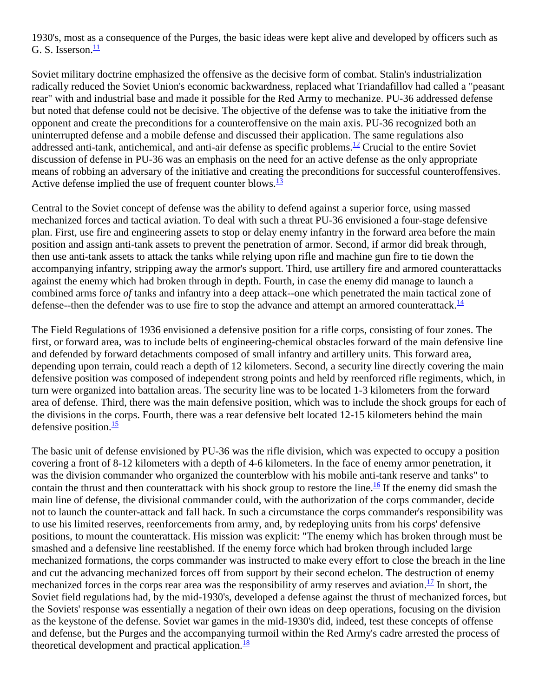1930's, most as a consequence of the Purges, the basic ideas were kept alive and developed by officers such as G. S. Isserson. $\frac{11}{1}$ 

Soviet military doctrine emphasized the offensive as the decisive form of combat. Stalin's industrialization radically reduced the Soviet Union's economic backwardness, replaced what Triandafillov had called a "peasant rear" with and industrial base and made it possible for the Red Army to mechanize. PU-36 addressed defense but noted that defense could not be decisive. The objective of the defense was to take the initiative from the opponent and create the preconditions for a counteroffensive on the main axis. PU-36 recognized both an uninterrupted defense and a mobile defense and discussed their application. The same regulations also addressed anti-tank, antichemical, and anti-air defense as specific problems.<sup>[12](http://fmso.leavenworth.army.mil/documents/barbaros.htm#12)</sup> Crucial to the entire Soviet discussion of defense in PU-36 was an emphasis on the need for an active defense as the only appropriate means of robbing an adversary of the initiative and creating the preconditions for successful counteroffensives. Active defense implied the use of frequent counter blows. $\frac{13}{2}$ 

Central to the Soviet concept of defense was the ability to defend against a superior force, using massed mechanized forces and tactical aviation. To deal with such a threat PU-36 envisioned a four-stage defensive plan. First, use fire and engineering assets to stop or delay enemy infantry in the forward area before the main position and assign anti-tank assets to prevent the penetration of armor. Second, if armor did break through, then use anti-tank assets to attack the tanks while relying upon rifle and machine gun fire to tie down the accompanying infantry, stripping away the armor's support. Third, use artillery fire and armored counterattacks against the enemy which had broken through in depth. Fourth, in case the enemy did manage to launch a combined arms force *of* tanks and infantry into a deep attack--one which penetrated the main tactical zone of defense--then the defender was to use fire to stop the advance and attempt an armored counterattack. $\frac{14}{1}$  $\frac{14}{1}$  $\frac{14}{1}$ 

The Field Regulations of 1936 envisioned a defensive position for a rifle corps, consisting of four zones. The first, or forward area, was to include belts of engineering-chemical obstacles forward of the main defensive line and defended by forward detachments composed of small infantry and artillery units. This forward area, depending upon terrain, could reach a depth of 12 kilometers. Second, a security line directly covering the main defensive position was composed of independent strong points and held by reenforced rifle regiments, which, in turn were organized into battalion areas. The security line was to be located 1-3 kilometers from the forward area of defense. Third, there was the main defensive position, which was to include the shock groups for each of the divisions in the corps. Fourth, there was a rear defensive belt located 12-15 kilometers behind the main defensive position. $\frac{15}{2}$ 

The basic unit of defense envisioned by PU-36 was the rifle division, which was expected to occupy a position covering a front of 8-12 kilometers with a depth of 4-6 kilometers. In the face of enemy armor penetration, it was the division commander who organized the counterblow with his mobile anti-tank reserve and tanks" to contain the thrust and then counterattack with his shock group to restore the line.<sup>16</sup> If the enemy did smash the main line of defense, the divisional commander could, with the authorization of the corps commander, decide not to launch the counter-attack and fall hack. In such a circumstance the corps commander's responsibility was to use his limited reserves, reenforcements from army, and, by redeploying units from his corps' defensive positions, to mount the counterattack. His mission was explicit: "The enemy which has broken through must be smashed and a defensive line reestablished. If the enemy force which had broken through included large mechanized formations, the corps commander was instructed to make every effort to close the breach in the line and cut the advancing mechanized forces off from support by their second echelon. The destruction of enemy mechanized forces in the corps rear area was the responsibility of army reserves and aviation.<sup>17</sup> In short, the Soviet field regulations had, by the mid-1930's, developed a defense against the thrust of mechanized forces, but the Soviets' response was essentially a negation of their own ideas on deep operations, focusing on the division as the keystone of the defense. Soviet war games in the mid-1930's did, indeed, test these concepts of offense and defense, but the Purges and the accompanying turmoil within the Red Army's cadre arrested the process of theoretical development and practical application. $\frac{18}{18}$  $\frac{18}{18}$  $\frac{18}{18}$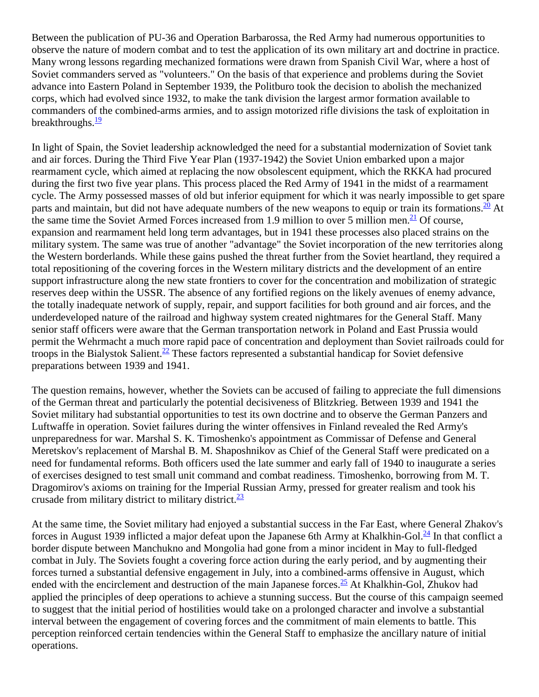Between the publication of PU-36 and Operation Barbarossa, the Red Army had numerous opportunities to observe the nature of modern combat and to test the application of its own military art and doctrine in practice. Many wrong lessons regarding mechanized formations were drawn from Spanish Civil War, where a host of Soviet commanders served as "volunteers." On the basis of that experience and problems during the Soviet advance into Eastern Poland in September 1939, the Politburo took the decision to abolish the mechanized corps, which had evolved since 1932, to make the tank division the largest armor formation available to commanders of the combined-arms armies, and to assign motorized rifle divisions the task of exploitation in breakthroughs. $\frac{19}{2}$  $\frac{19}{2}$  $\frac{19}{2}$ 

In light of Spain, the Soviet leadership acknowledged the need for a substantial modernization of Soviet tank and air forces. During the Third Five Year Plan (1937-1942) the Soviet Union embarked upon a major rearmament cycle, which aimed at replacing the now obsolescent equipment, which the RKKA had procured during the first two five year plans. This process placed the Red Army of 1941 in the midst of a rearmament cycle. The Army possessed masses of old but inferior equipment for which it was nearly impossible to get spare parts and maintain, but did not have adequate numbers of the new weapons to equip or train its formations. $\frac{20}{10}$  At the same time the Soviet Armed Forces increased from 1.9 million to over 5 million men.<sup>21</sup> Of course, expansion and rearmament held long term advantages, but in 1941 these processes also placed strains on the military system. The same was true of another "advantage" the Soviet incorporation of the new territories along the Western borderlands. While these gains pushed the threat further from the Soviet heartland, they required a total repositioning of the covering forces in the Western military districts and the development of an entire support infrastructure along the new state frontiers to cover for the concentration and mobilization of strategic reserves deep within the USSR. The absence of any fortified regions on the likely avenues of enemy advance, the totally inadequate network of supply, repair, and support facilities for both ground and air forces, and the underdeveloped nature of the railroad and highway system created nightmares for the General Staff. Many senior staff officers were aware that the German transportation network in Poland and East Prussia would permit the Wehrmacht a much more rapid pace of concentration and deployment than Soviet railroads could for troops in the Bialystok Salient.<sup>[22](http://fmso.leavenworth.army.mil/documents/barbaros.htm#22)</sup> These factors represented a substantial handicap for Soviet defensive preparations between 1939 and 1941.

The question remains, however, whether the Soviets can be accused of failing to appreciate the full dimensions of the German threat and particularly the potential decisiveness of Blitzkrieg. Between 1939 and 1941 the Soviet military had substantial opportunities to test its own doctrine and to observe the German Panzers and Luftwaffe in operation. Soviet failures during the winter offensives in Finland revealed the Red Army's unpreparedness for war. Marshal S. K. Timoshenko's appointment as Commissar of Defense and General Meretskov's replacement of Marshal B. M. Shaposhnikov as Chief of the General Staff were predicated on a need for fundamental reforms. Both officers used the late summer and early fall of 1940 to inaugurate a series of exercises designed to test small unit command and combat readiness. Timoshenko, borrowing from M. T. Dragomirov's axioms on training for the Imperial Russian Army, pressed for greater realism and took his crusade from military district to military district. $\frac{23}{2}$ 

At the same time, the Soviet military had enjoyed a substantial success in the Far East, where General Zhakov's forces in August 1939 inflicted a major defeat upon the Japanese 6th Army at Khalkhin-Gol. $\frac{24}{3}$  In that conflict a border dispute between Manchukno and Mongolia had gone from a minor incident in May to full-fledged combat in July. The Soviets fought a covering force action during the early period, and by augmenting their forces turned a substantial defensive engagement in July, into a combined-arms offensive in August, which ended with the encirclement and destruction of the main Japanese forces. $\frac{25}{12}$  $\frac{25}{12}$  $\frac{25}{12}$  At Khalkhin-Gol, Zhukov had applied the principles of deep operations to achieve a stunning success. But the course of this campaign seemed to suggest that the initial period of hostilities would take on a prolonged character and involve a substantial interval between the engagement of covering forces and the commitment of main elements to battle. This perception reinforced certain tendencies within the General Staff to emphasize the ancillary nature of initial operations.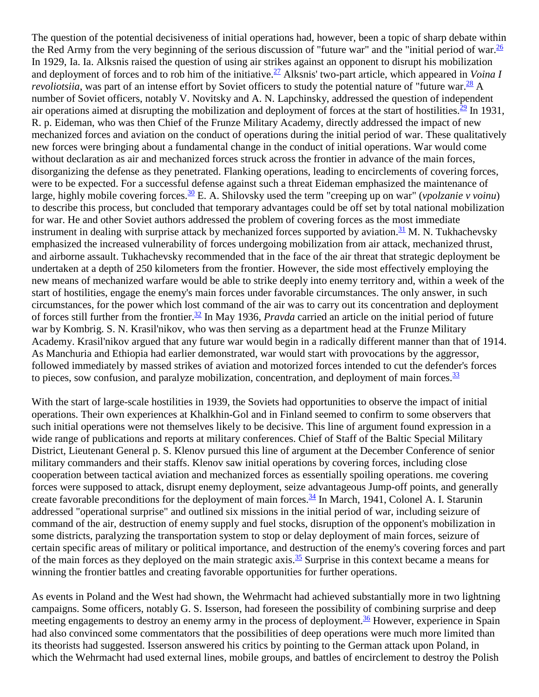The question of the potential decisiveness of initial operations had, however, been a topic of sharp debate within the Red Army from the very beginning of the serious discussion of "future war" and the "initial period of war. $\frac{26}{5}$ In 1929, Ia. Ia. Alksnis raised the question of using air strikes against an opponent to disrupt his mobilization and deployment of forces and to rob him of the initiative.<sup>27</sup> Alksnis' two-part article, which appeared in *Voina I revoliotsiia*, was part of an intense effort by Soviet officers to study the potential nature of "future war. $\frac{28}{10}$  A number of Soviet officers, notably V. Novitsky and A. N. Lapchinsky, addressed the question of independent air operations aimed at disrupting the mobilization and deployment of forces at the start of hostilities. $\frac{29}{1}$  $\frac{29}{1}$  $\frac{29}{1}$  In 1931, R. p. Eideman, who was then Chief of the Frunze Military Academy, directly addressed the impact of new mechanized forces and aviation on the conduct of operations during the initial period of war. These qualitatively new forces were bringing about a fundamental change in the conduct of initial operations. War would come without declaration as air and mechanized forces struck across the frontier in advance of the main forces, disorganizing the defense as they penetrated. Flanking operations, leading to encirclements of covering forces, were to be expected. For a successful defense against such a threat Eideman emphasized the maintenance of large, highly mobile covering forces.<sup>30</sup> E. A. Shilovsky used the term "creeping up on war" (*vpolzanie v voinu*) to describe this process, but concluded that temporary advantages could be off set by total national mobilization for war. He and other Soviet authors addressed the problem of covering forces as the most immediate instrument in dealing with surprise attack by mechanized forces supported by aviation.<sup>[31](http://fmso.leavenworth.army.mil/documents/barbaros.htm#31)</sup> M. N. Tukhachevsky emphasized the increased vulnerability of forces undergoing mobilization from air attack, mechanized thrust, and airborne assault. Tukhachevsky recommended that in the face of the air threat that strategic deployment be undertaken at a depth of 250 kilometers from the frontier. However, the side most effectively employing the new means of mechanized warfare would be able to strike deeply into enemy territory and, within a week of the start of hostilities, engage the enemy's main forces under favorable circumstances. The only answer, in such circumstances, for the power which lost command of the air was to carry out its concentration and deployment of forces still further from the frontier[.32](http://fmso.leavenworth.army.mil/documents/barbaros.htm#32) In May 1936, *Pravda* carried an article on the initial period of future war by Kombrig. S. N. Krasil'nikov, who was then serving as a department head at the Frunze Military Academy. Krasil'nikov argued that any future war would begin in a radically different manner than that of 1914. As Manchuria and Ethiopia had earlier demonstrated, war would start with provocations by the aggressor, followed immediately by massed strikes of aviation and motorized forces intended to cut the defender's forces to pieces, sow confusion, and paralyze mobilization, concentration, and deployment of main forces. $\frac{33}{2}$ 

With the start of large-scale hostilities in 1939, the Soviets had opportunities to observe the impact of initial operations. Their own experiences at Khalkhin-Gol and in Finland seemed to confirm to some observers that such initial operations were not themselves likely to be decisive. This line of argument found expression in a wide range of publications and reports at military conferences. Chief of Staff of the Baltic Special Military District, Lieutenant General p. S. Klenov pursued this line of argument at the December Conference of senior military commanders and their staffs. Klenov saw initial operations by covering forces, including close cooperation between tactical aviation and mechanized forces as essentially spoiling operations. me covering forces were supposed to attack, disrupt enemy deployment, seize advantageous Jump-off points, and generally create favorable preconditions for the deployment of main forces. $\frac{34}{10}$  In March, 1941, Colonel A. I. Starunin addressed "operational surprise" and outlined six missions in the initial period of war, including seizure of command of the air, destruction of enemy supply and fuel stocks, disruption of the opponent's mobilization in some districts, paralyzing the transportation system to stop or delay deployment of main forces, seizure of certain specific areas of military or political importance, and destruction of the enemy's covering forces and part of the main forces as they deployed on the main strategic axis.<sup>35</sup> Surprise in this context became a means for winning the frontier battles and creating favorable opportunities for further operations.

As events in Poland and the West had shown, the Wehrmacht had achieved substantially more in two lightning campaigns. Some officers, notably G. S. Isserson, had foreseen the possibility of combining surprise and deep meeting engagements to destroy an enemy army in the process of deployment.<sup>[36](http://fmso.leavenworth.army.mil/documents/barbaros.htm#36)</sup> However, experience in Spain had also convinced some commentators that the possibilities of deep operations were much more limited than its theorists had suggested. Isserson answered his critics by pointing to the German attack upon Poland, in which the Wehrmacht had used external lines, mobile groups, and battles of encirclement to destroy the Polish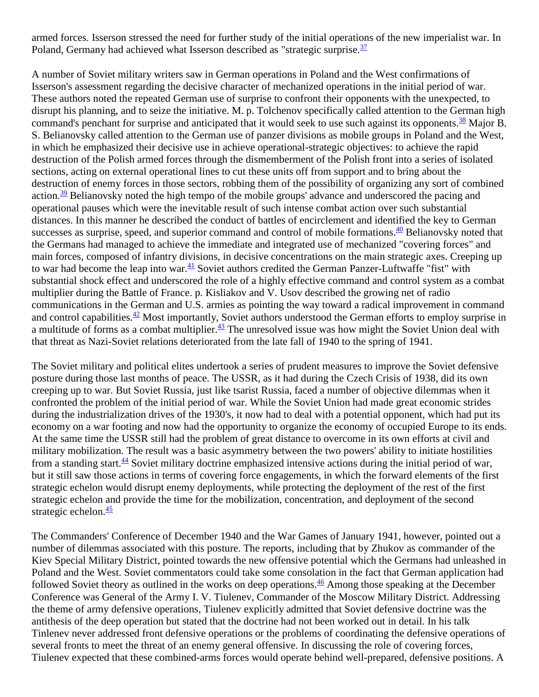armed forces. Isserson stressed the need for further study of the initial operations of the new imperialist war. In Poland, Germany had achieved what Isserson described as "strategic surprise. $\frac{37}{37}$ 

A number of Soviet military writers saw in German operations in Poland and the West confirmations of Isserson's assessment regarding the decisive character of mechanized operations in the initial period of war. These authors noted the repeated German use of surprise to confront their opponents with the unexpected, to disrupt his planning, and to seize the initiative. M. p. Tolchenov specifically called attention to the German high command's penchant for surprise and anticipated that it would seek to use such against its opponents.<sup>38</sup> Major B. S. Belianovsky called attention to the German use of panzer divisions as mobile groups in Poland and the West, in which he emphasized their decisive use in achieve operational-strategic objectives: to achieve the rapid destruction of the Polish armed forces through the dismemberment of the Polish front into a series of isolated sections, acting on external operational lines to cut these units off from support and to bring about the destruction of enemy forces in those sectors, robbing them of the possibility of organizing any sort of combined action.<sup>[39](http://fmso.leavenworth.army.mil/documents/barbaros.htm#39)</sup> Belianovsky noted the high tempo of the mobile groups' advance and underscored the pacing and operational pauses which were the inevitable result of such intense combat action over such substantial distances. In this manner he described the conduct of battles of encirclement and identified the key to German successes as surprise, speed, and superior command and control of mobile formations.<sup>40</sup> Belianovsky noted that the Germans had managed to achieve the immediate and integrated use of mechanized "covering forces" and main forces, composed of infantry divisions, in decisive concentrations on the main strategic axes. Creeping up to war had become the leap into war. $\frac{41}{12}$  Soviet authors credited the German Panzer-Luftwaffe "fist" with substantial shock effect and underscored the role of a highly effective command and control system as a combat multiplier during the Battle of France. p. Kisliakov and V. Usov described the growing net of radio communications in the German and U.S. armies as pointing the way toward a radical improvement in command and control capabilities.<sup>[42](http://fmso.leavenworth.army.mil/documents/barbaros.htm#42)</sup> Most importantly, Soviet authors understood the German efforts to employ surprise in a multitude of forms as a combat multiplier. $\frac{43}{12}$  The unresolved issue was how might the Soviet Union deal with that threat as Nazi-Soviet relations deteriorated from the late fall of 1940 to the spring of 1941.

The Soviet military and political elites undertook a series of prudent measures to improve the Soviet defensive posture during those last months of peace. The USSR, as it had during the Czech Crisis of 1938, did its own creeping up to war. But Soviet Russia, just like tsarist Russia, faced a number of objective dilemmas when it confronted the problem of the initial period of war. While the Soviet Union had made great economic strides during the industrialization drives of the 1930's, it now had to deal with a potential opponent, which had put its economy on a war footing and now had the opportunity to organize the economy of occupied Europe to its ends. At the same time the USSR still had the problem of great distance to overcome in its own efforts at civil and military mobilization. The result was a basic asymmetry between the two powers' ability to initiate hostilities from a standing start. $\frac{44}{3}$  Soviet military doctrine emphasized intensive actions during the initial period of war, but it still saw those actions in terms of covering force engagements, in which the forward elements of the first strategic echelon would disrupt enemy deployments, while protecting the deployment of the rest of the first strategic echelon and provide the time for the mobilization, concentration, and deployment of the second strategic echelon. $\frac{45}{5}$  $\frac{45}{5}$  $\frac{45}{5}$ 

The Commanders' Conference of December 1940 and the War Games of January 1941, however, pointed out a number of dilemmas associated with this posture. The reports, including that by Zhukov as commander of the Kiev Special Military District, pointed towards the new offensive potential which the Germans had unleashed in Poland and the West. Soviet commentators could take some consolation in the fact that German application had followed Soviet theory as outlined in the works on deep operations. $\frac{46}{5}$  $\frac{46}{5}$  $\frac{46}{5}$  Among those speaking at the December Conference was General of the Army I. V. Tiulenev, Commander of the Moscow Military District. Addressing the theme of army defensive operations, Tiulenev explicitly admitted that Soviet defensive doctrine was the antithesis of the deep operation but stated that the doctrine had not been worked out in detail. In his talk Tinlenev never addressed front defensive operations or the problems of coordinating the defensive operations of several fronts to meet the threat of an enemy general offensive. In discussing the role of covering forces, Tiulenev expected that these combined-arms forces would operate behind well-prepared, defensive positions. A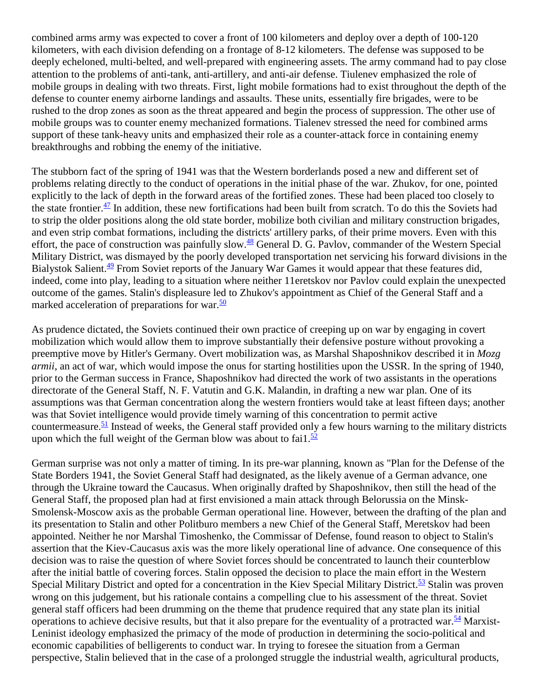combined arms army was expected to cover a front of 100 kilometers and deploy over a depth of 100-120 kilometers, with each division defending on a frontage of 8-12 kilometers. The defense was supposed to be deeply echeloned, multi-belted, and well-prepared with engineering assets. The army command had to pay close attention to the problems of anti-tank, anti-artillery, and anti-air defense. Tiulenev emphasized the role of mobile groups in dealing with two threats. First, light mobile formations had to exist throughout the depth of the defense to counter enemy airborne landings and assaults. These units, essentially fire brigades, were to be rushed to the drop zones as soon as the threat appeared and begin the process of suppression. The other use of mobile groups was to counter enemy mechanized formations. Tialenev stressed the need for combined arms support of these tank-heavy units and emphasized their role as a counter-attack force in containing enemy breakthroughs and robbing the enemy of the initiative.

The stubborn fact of the spring of 1941 was that the Western borderlands posed a new and different set of problems relating directly to the conduct of operations in the initial phase of the war. Zhukov, for one, pointed explicitly to the lack of depth in the forward areas of the fortified zones. These had been placed too closely to the state frontier. $\frac{47}{1}$  In addition, these new fortifications had been built from scratch. To do this the Soviets had to strip the older positions along the old state border, mobilize both civilian and military construction brigades, and even strip combat formations, including the districts' artillery parks, of their prime movers. Even with this effort, the pace of construction was painfully slow.<sup>48</sup> General D. G. Pavlov, commander of the Western Special Military District, was dismayed by the poorly developed transportation net servicing his forward divisions in the Bialystok Salient.<sup>[49](http://fmso.leavenworth.army.mil/documents/barbaros.htm#49)</sup> From Soviet reports of the January War Games it would appear that these features did, indeed, come into play, leading to a situation where neither 11eretskov nor Pavlov could explain the unexpected outcome of the games. Stalin's displeasure led to Zhukov's appointment as Chief of the General Staff and a marked acceleration of preparations for war. $\frac{50}{2}$  $\frac{50}{2}$  $\frac{50}{2}$ 

As prudence dictated, the Soviets continued their own practice of creeping up on war by engaging in covert mobilization which would allow them to improve substantially their defensive posture without provoking a preemptive move by Hitler's Germany. Overt mobilization was, as Marshal Shaposhnikov described it in *Mozg armii*, an act of war, which would impose the onus for starting hostilities upon the USSR. In the spring of 1940, prior to the German success in France, Shaposhnikov had directed the work of two assistants in the operations directorate of the General Staff, N. F. Vatutin and G.K. Malandin, in drafting a new war plan. One of its assumptions was that German concentration along the western frontiers would take at least fifteen days; another was that Soviet intelligence would provide timely warning of this concentration to permit active countermeasure.<sup>[51](http://fmso.leavenworth.army.mil/documents/barbaros.htm#51)</sup> Instead of weeks, the General staff provided only a few hours warning to the military districts upon which the full weight of the German blow was about to fail.<sup>52</sup>

German surprise was not only a matter of timing. In its pre-war planning, known as "Plan for the Defense of the State Borders 1941, the Soviet General Staff had designated, as the likely avenue of a German advance, one through the Ukraine toward the Caucasus. When originally drafted by Shaposhnikov, then still the head of the General Staff, the proposed plan had at first envisioned a main attack through Belorussia on the Minsk-Smolensk-Moscow axis as the probable German operational line. However, between the drafting of the plan and its presentation to Stalin and other Politburo members a new Chief of the General Staff, Meretskov had been appointed. Neither he nor Marshal Timoshenko, the Commissar of Defense, found reason to object to Stalin's assertion that the Kiev-Caucasus axis was the more likely operational line of advance. One consequence of this decision was to raise the question of where Soviet forces should be concentrated to launch their counterblow after the initial battle of covering forces. Stalin opposed the decision to place the main effort in the Western Special Military District and opted for a concentration in the Kiev Special Military District.<sup>53</sup> Stalin was proven wrong on this judgement, but his rationale contains a compelling clue to his assessment of the threat. Soviet general staff officers had been drumming on the theme that prudence required that any state plan its initial operations to achieve decisive results, but that it also prepare for the eventuality of a protracted war.  $\frac{54}{3}$  Marxist-Leninist ideology emphasized the primacy of the mode of production in determining the socio-political and economic capabilities of belligerents to conduct war. In trying to foresee the situation from a German perspective, Stalin believed that in the case of a prolonged struggle the industrial wealth, agricultural products,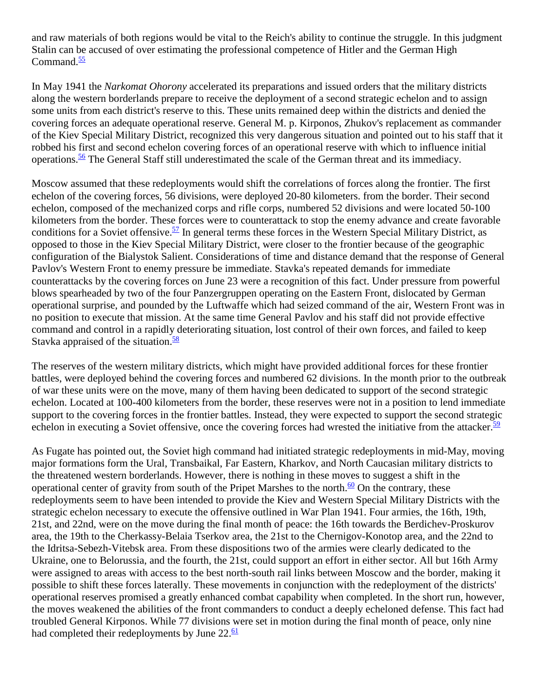and raw materials of both regions would be vital to the Reich's ability to continue the struggle. In this judgment Stalin can be accused of over estimating the professional competence of Hitler and the German High Command $\frac{55}{5}$ 

In May 1941 the *Narkomat Ohorony* accelerated its preparations and issued orders that the military districts along the western borderlands prepare to receive the deployment of a second strategic echelon and to assign some units from each district's reserve to this. These units remained deep within the districts and denied the covering forces an adequate operational reserve. General M. p. Kirponos, Zhukov's replacement as commander of the Kiev Special Military District, recognized this very dangerous situation and pointed out to his staff that it robbed his first and second echelon covering forces of an operational reserve with which to influence initial operations.<sup>56</sup> The General Staff still underestimated the scale of the German threat and its immediacy.

Moscow assumed that these redeployments would shift the correlations of forces along the frontier. The first echelon of the covering forces, 56 divisions, were deployed 20-80 kilometers. from the border. Their second echelon, composed of the mechanized corps and rifle corps, numbered 52 divisions and were located 50-100 kilometers from the border. These forces were to counterattack to stop the enemy advance and create favorable conditions for a Soviet offensive.<sup>57</sup> In general terms these forces in the Western Special Military District, as opposed to those in the Kiev Special Military District, were closer to the frontier because of the geographic configuration of the Bialystok Salient. Considerations of time and distance demand that the response of General Pavlov's Western Front to enemy pressure be immediate. Stavka's repeated demands for immediate counterattacks by the covering forces on June 23 were a recognition of this fact. Under pressure from powerful blows spearheaded by two of the four Panzergruppen operating on the Eastern Front, dislocated by German operational surprise, and pounded by the Luftwaffe which had seized command of the air, Western Front was in no position to execute that mission. At the same time General Pavlov and his staff did not provide effective command and control in a rapidly deteriorating situation, lost control of their own forces, and failed to keep Stavka appraised of the situation. $\frac{58}{58}$ 

The reserves of the western military districts, which might have provided additional forces for these frontier battles, were deployed behind the covering forces and numbered 62 divisions. In the month prior to the outbreak of war these units were on the move, many of them having been dedicated to support of the second strategic echelon. Located at 100-400 kilometers from the border, these reserves were not in a position to lend immediate support to the covering forces in the frontier battles. Instead, they were expected to support the second strategic echelon in executing a Soviet offensive, once the covering forces had wrested the initiative from the attacker. $\frac{59}{2}$  $\frac{59}{2}$  $\frac{59}{2}$ 

As Fugate has pointed out, the Soviet high command had initiated strategic redeployments in mid-May, moving major formations form the Ural, Transbaikal, Far Eastern, Kharkov, and North Caucasian military districts to the threatened western borderlands. However, there is nothing in these moves to suggest a shift in the operational center of gravity from south of the Pripet Marshes to the north. $\frac{60}{2}$  $\frac{60}{2}$  $\frac{60}{2}$  On the contrary, these redeployments seem to have been intended to provide the Kiev and Western Special Military Districts with the strategic echelon necessary to execute the offensive outlined in War Plan 1941. Four armies, the 16th, 19th, 21st, and 22nd, were on the move during the final month of peace: the 16th towards the Berdichev-Proskurov area, the 19th to the Cherkassy-Belaia Tserkov area, the 21st to the Chernigov-Konotop area, and the 22nd to the Idritsa-Sebezh-Vitebsk area. From these dispositions two of the armies were clearly dedicated to the Ukraine, one to Belorussia, and the fourth, the 21st, could support an effort in either sector. All but 16th Army were assigned to areas with access to the best north-south rail links between Moscow and the border, making it possible to shift these forces laterally. These movements in conjunction with the redeployment of the districts' operational reserves promised a greatly enhanced combat capability when completed. In the short run, however, the moves weakened the abilities of the front commanders to conduct a deeply echeloned defense. This fact had troubled General Kirponos. While 77 divisions were set in motion during the final month of peace, only nine had completed their redeployments by June  $22.\overline{61}$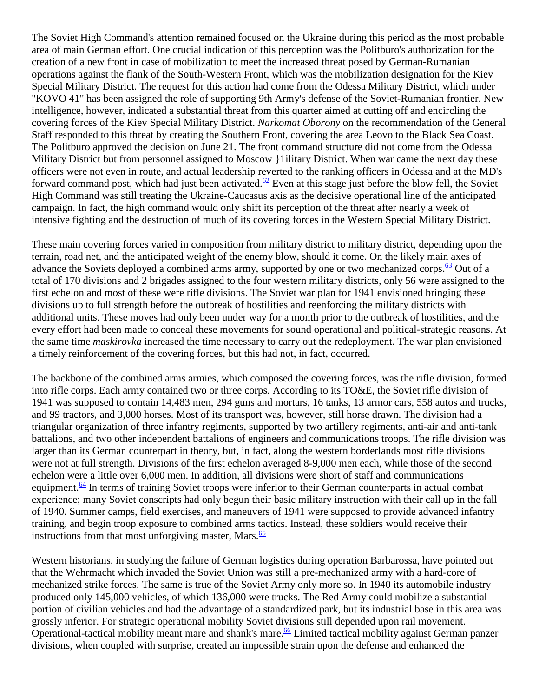The Soviet High Command's attention remained focused on the Ukraine during this period as the most probable area of main German effort. One crucial indication of this perception was the Politburo's authorization for the creation of a new front in case of mobilization to meet the increased threat posed by German-Rumanian operations against the flank of the South-Western Front, which was the mobilization designation for the Kiev Special Military District. The request for this action had come from the Odessa Military District, which under "KOVO 41" has been assigned the role of supporting 9th Army's defense of the Soviet-Rumanian frontier. New intelligence, however, indicated a substantial threat from this quarter aimed at cutting off and encircling the covering forces of the Kiev Special Military District. *Narkomat Oborony* on the recommendation of the General Staff responded to this threat by creating the Southern Front, covering the area Leovo to the Black Sea Coast. The Politburo approved the decision on June 21. The front command structure did not come from the Odessa Military District but from personnel assigned to Moscow {lilitary District. When war came the next day these officers were not even in route, and actual leadership reverted to the ranking officers in Odessa and at the MD's forward command post, which had just been activated.<sup>62</sup> Even at this stage just before the blow fell, the Soviet High Command was still treating the Ukraine-Caucasus axis as the decisive operational line of the anticipated campaign. In fact, the high command would only shift its perception of the threat after nearly a week of intensive fighting and the destruction of much of its covering forces in the Western Special Military District.

These main covering forces varied in composition from military district to military district, depending upon the terrain, road net, and the anticipated weight of the enemy blow, should it come. On the likely main axes of advance the Soviets deployed a combined arms army, supported by one or two mechanized corps. $\frac{63}{2}$  $\frac{63}{2}$  $\frac{63}{2}$  Out of a total of 170 divisions and 2 brigades assigned to the four western military districts, only 56 were assigned to the first echelon and most of these were rifle divisions. The Soviet war plan for 1941 envisioned bringing these divisions up to full strength before the outbreak of hostilities and reenforcing the military districts with additional units. These moves had only been under way for a month prior to the outbreak of hostilities, and the every effort had been made to conceal these movements for sound operational and political-strategic reasons. At the same time *maskirovka* increased the time necessary to carry out the redeployment. The war plan envisioned a timely reinforcement of the covering forces, but this had not, in fact, occurred.

The backbone of the combined arms armies, which composed the covering forces, was the rifle division, formed into rifle corps. Each army contained two or three corps. According to its TO&E, the Soviet rifle division of 1941 was supposed to contain 14,483 men, 294 guns and mortars, 16 tanks, 13 armor cars, 558 autos and trucks, and 99 tractors, and 3,000 horses. Most of its transport was, however, still horse drawn. The division had a triangular organization of three infantry regiments, supported by two artillery regiments, anti-air and anti-tank battalions, and two other independent battalions of engineers and communications troops. The rifle division was larger than its German counterpart in theory, but, in fact, along the western borderlands most rifle divisions were not at full strength. Divisions of the first echelon averaged 8-9,000 men each, while those of the second echelon were a little over 6,000 men. In addition, all divisions were short of staff and communications equipment. $64$  In terms of training Soviet troops were inferior to their German counterparts in actual combat experience; many Soviet conscripts had only begun their basic military instruction with their call up in the fall of 1940. Summer camps, field exercises, and maneuvers of 1941 were supposed to provide advanced infantry training, and begin troop exposure to combined arms tactics. Instead, these soldiers would receive their instructions from that most unforgiving master, Mars. $\frac{65}{65}$ 

Western historians, in studying the failure of German logistics during operation Barbarossa, have pointed out that the Wehrmacht which invaded the Soviet Union was still a pre-mechanized army with a hard-core of mechanized strike forces. The same is true of the Soviet Army only more so. In 1940 its automobile industry produced only 145,000 vehicles, of which 136,000 were trucks. The Red Army could mobilize a substantial portion of civilian vehicles and had the advantage of a standardized park, but its industrial base in this area was grossly inferior. For strategic operational mobility Soviet divisions still depended upon rail movement. Operational-tactical mobility meant mare and shank's mare.<sup>66</sup> Limited tactical mobility against German panzer divisions, when coupled with surprise, created an impossible strain upon the defense and enhanced the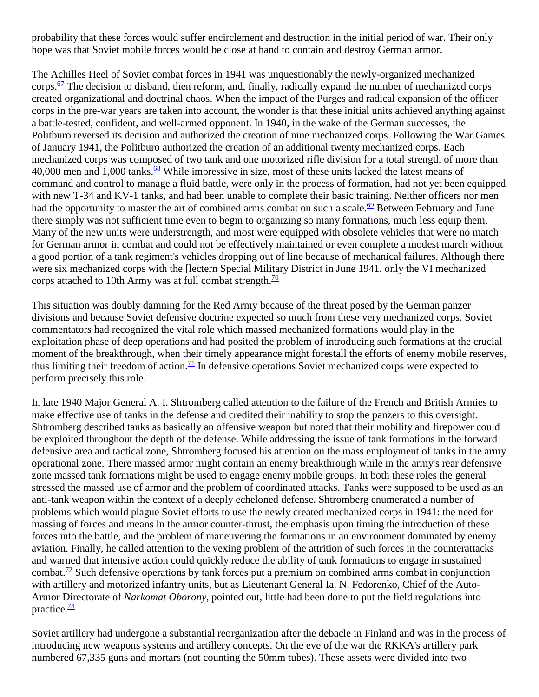probability that these forces would suffer encirclement and destruction in the initial period of war. Their only hope was that Soviet mobile forces would be close at hand to contain and destroy German armor.

The Achilles Heel of Soviet combat forces in 1941 was unquestionably the newly-organized mechanized corps. $\frac{67}{2}$  $\frac{67}{2}$  $\frac{67}{2}$  The decision to disband, then reform, and, finally, radically expand the number of mechanized corps created organizational and doctrinal chaos. When the impact of the Purges and radical expansion of the officer corps in the pre-war years are taken into account, the wonder is that these initial units achieved anything against a battle-tested, confident, and well-armed opponent. In 1940, in the wake of the German successes, the Politburo reversed its decision and authorized the creation of nine mechanized corps. Following the War Games of January 1941, the Politburo authorized the creation of an additional twenty mechanized corps. Each mechanized corps was composed of two tank and one motorized rifle division for a total strength of more than 40,000 men and 1,000 tanks. $\frac{68}{2}$  While impressive in size, most of these units lacked the latest means of command and control to manage a fluid battle, were only in the process of formation, had not yet been equipped with new T-34 and KV-1 tanks, and had been unable to complete their basic training. Neither officers nor men had the opportunity to master the art of combined arms combat on such a scale.<sup>69</sup> Between February and June there simply was not sufficient time even to begin to organizing so many formations, much less equip them. Many of the new units were understrength, and most were equipped with obsolete vehicles that were no match for German armor in combat and could not be effectively maintained or even complete a modest march without a good portion of a tank regiment's vehicles dropping out of line because of mechanical failures. Although there were six mechanized corps with the [lectern Special Military District in June 1941, only the VI mechanized corps attached to 10th Army was at full combat strength. $\frac{70}{2}$ 

This situation was doubly damning for the Red Army because of the threat posed by the German panzer divisions and because Soviet defensive doctrine expected so much from these very mechanized corps. Soviet commentators had recognized the vital role which massed mechanized formations would play in the exploitation phase of deep operations and had posited the problem of introducing such formations at the crucial moment of the breakthrough, when their timely appearance might forestall the efforts of enemy mobile reserves, thus limiting their freedom of action.<sup>[71](http://fmso.leavenworth.army.mil/documents/barbaros.htm#71)</sup> In defensive operations Soviet mechanized corps were expected to perform precisely this role.

In late 1940 Major General A. I. Shtromberg called attention to the failure of the French and British Armies to make effective use of tanks in the defense and credited their inability to stop the panzers to this oversight. Shtromberg described tanks as basically an offensive weapon but noted that their mobility and firepower could be exploited throughout the depth of the defense. While addressing the issue of tank formations in the forward defensive area and tactical zone, Shtromberg focused his attention on the mass employment of tanks in the army operational zone. There massed armor might contain an enemy breakthrough while in the army's rear defensive zone massed tank formations might be used to engage enemy mobile groups. In both these roles the general stressed the massed use of armor and the problem of coordinated attacks. Tanks were supposed to be used as an anti-tank weapon within the context of a deeply echeloned defense. Shtromberg enumerated a number of problems which would plague Soviet efforts to use the newly created mechanized corps in 1941: the need for massing of forces and means ln the armor counter-thrust, the emphasis upon timing the introduction of these forces into the battle, and the problem of maneuvering the formations in an environment dominated by enemy aviation. Finally, he called attention to the vexing problem of the attrition of such forces in the counterattacks and warned that intensive action could quickly reduce the ability of tank formations to engage in sustained combat.<sup>72</sup> Such defensive operations by tank forces put a premium on combined arms combat in conjunction with artillery and motorized infantry units, but as Lieutenant General Ia. N. Fedorenko, Chief of the Auto-Armor Directorate of *Narkomat Oborony*, pointed out, little had been done to put the field regulations into practice. $\frac{73}{2}$ 

Soviet artillery had undergone a substantial reorganization after the debacle in Finland and was in the process of introducing new weapons systems and artillery concepts. On the eve of the war the RKKA's artillery park numbered 67,335 guns and mortars (not counting the 50mm tubes). These assets were divided into two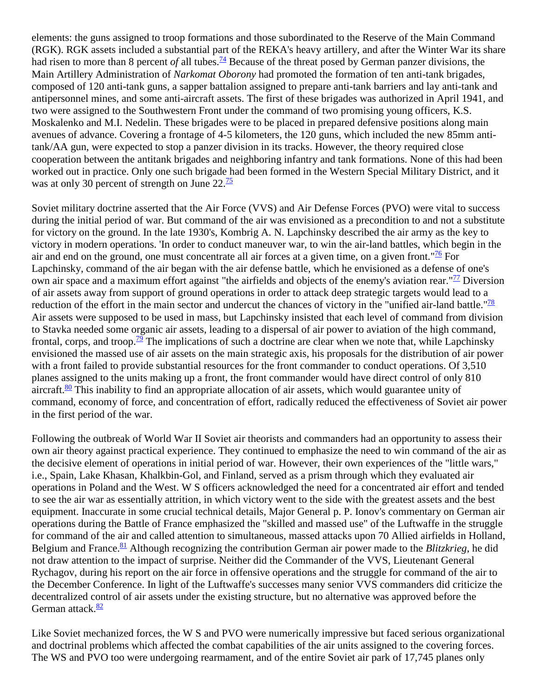elements: the guns assigned to troop formations and those subordinated to the Reserve of the Main Command (RGK). RGK assets included a substantial part of the REKA's heavy artillery, and after the Winter War its share had risen to more than 8 percent *of* all tubes.<sup>[74](http://fmso.leavenworth.army.mil/documents/barbaros.htm#74)</sup> Because of the threat posed by German panzer divisions, the Main Artillery Administration of *Narkomat Oborony* had promoted the formation of ten anti-tank brigades, composed of 120 anti-tank guns, a sapper battalion assigned to prepare anti-tank barriers and lay anti-tank and antipersonnel mines, and some anti-aircraft assets. The first of these brigades was authorized in April 1941, and two were assigned to the Southwestern Front under the command of two promising young officers, K.S. Moskalenko and M.I. Nedelin. These brigades were to be placed in prepared defensive positions along main avenues of advance. Covering a frontage of 4-5 kilometers, the 120 guns, which included the new 85mm antitank/AA gun, were expected to stop a panzer division in its tracks. However, the theory required close cooperation between the antitank brigades and neighboring infantry and tank formations. None of this had been worked out in practice. Only one such brigade had been formed in the Western Special Military District, and it was at only 30 percent of strength on June  $22.\overline{^{15}}$ 

Soviet military doctrine asserted that the Air Force (VVS) and Air Defense Forces (PVO) were vital to success during the initial period of war. But command of the air was envisioned as a precondition to and not a substitute for victory on the ground. In the late 1930's, Kombrig A. N. Lapchinsky described the air army as the key to victory in modern operations. 'In order to conduct maneuver war, to win the air-land battles, which begin in the air and end on the ground, one must concentrate all air forces at a given time, on a given front." $\frac{76}{6}$  For Lapchinsky, command of the air began with the air defense battle, which he envisioned as a defense of one's own air space and a maximum effort against "the airfields and objects of the enemy's aviation rear." $\frac{77}{2}$  Diversion of air assets away from support of ground operations in order to attack deep strategic targets would lead to a reduction of the effort in the main sector and undercut the chances of victory in the "unified air-land battle." $\frac{78}{8}$ Air assets were supposed to be used in mass, but Lapchinsky insisted that each level of command from division to Stavka needed some organic air assets, leading to a dispersal of air power to aviation of the high command, frontal, corps, and troop.<sup>79</sup> The implications of such a doctrine are clear when we note that, while Lapchinsky envisioned the massed use of air assets on the main strategic axis, his proposals for the distribution of air power with a front failed to provide substantial resources for the front commander to conduct operations. Of 3,510 planes assigned to the units making up a front, the front commander would have direct control of only 810 aircraft. $\frac{80}{2}$  This inability to find an appropriate allocation of air assets, which would guarantee unity of command, economy of force, and concentration of effort, radically reduced the effectiveness of Soviet air power in the first period of the war.

Following the outbreak of World War II Soviet air theorists and commanders had an opportunity to assess their own air theory against practical experience. They continued to emphasize the need to win command of the air as the decisive element of operations in initial period of war. However, their own experiences of the "little wars," i.e., Spain, Lake Khasan, Khalkbin-Gol, and Finland, served as a prism through which they evaluated air operations in Poland and the West. W S officers acknowledged the need for a concentrated air effort and tended to see the air war as essentially attrition, in which victory went to the side with the greatest assets and the best equipment. Inaccurate in some crucial technical details, Major General p. P. Ionov's commentary on German air operations during the Battle of France emphasized the "skilled and massed use" of the Luftwaffe in the struggle for command of the air and called attention to simultaneous, massed attacks upon 70 Allied airfields in Holland, Belgium and France.<sup>81</sup> Although recognizing the contribution German air power made to the *Blitzkrieg*, he did not draw attention to the impact of surprise. Neither did the Commander of the VVS, Lieutenant General Rychagov, during his report on the air force in offensive operations and the struggle for command of the air to the December Conference. In light of the Luftwaffe's successes many senior VVS commanders did criticize the decentralized control of air assets under the existing structure, but no alternative was approved before the German attack. $\frac{82}{2}$ 

Like Soviet mechanized forces, the W S and PVO were numerically impressive but faced serious organizational and doctrinal problems which affected the combat capabilities of the air units assigned to the covering forces. The WS and PVO too were undergoing rearmament, and of the entire Soviet air park of 17,745 planes only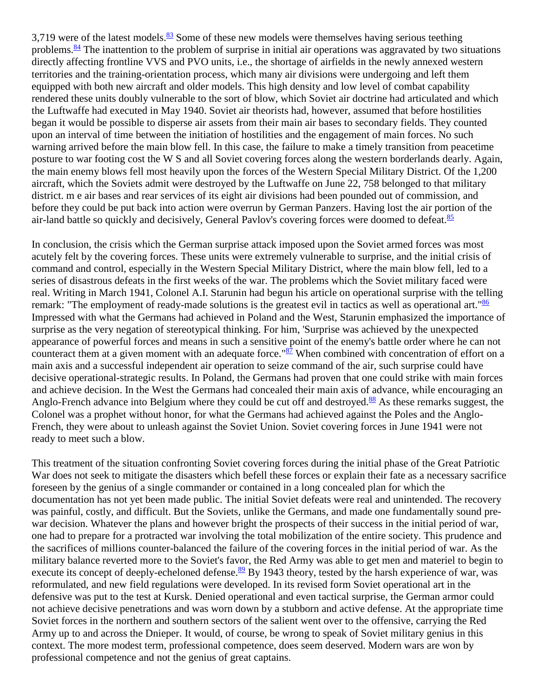3,719 were of the latest models. $\frac{83}{2}$  Some of these new models were themselves having serious teething problems. $\frac{84}{3}$  The inattention to the problem of surprise in initial air operations was aggravated by two situations directly affecting frontline VVS and PVO units, i.e., the shortage of airfields in the newly annexed western territories and the training-orientation process, which many air divisions were undergoing and left them equipped with both new aircraft and older models. This high density and low level of combat capability rendered these units doubly vulnerable to the sort of blow, which Soviet air doctrine had articulated and which the Luftwaffe had executed in May 1940. Soviet air theorists had, however, assumed that before hostilities began it would be possible to disperse air assets from their main air bases to secondary fields. They counted upon an interval of time between the initiation of hostilities and the engagement of main forces. No such warning arrived before the main blow fell. In this case, the failure to make a timely transition from peacetime posture to war footing cost the W S and all Soviet covering forces along the western borderlands dearly. Again, the main enemy blows fell most heavily upon the forces of the Western Special Military District. Of the 1,200 aircraft, which the Soviets admit were destroyed by the Luftwaffe on June 22, 758 belonged to that military district. m e air bases and rear services of its eight air divisions had been pounded out of commission, and before they could be put back into action were overrun by German Panzers. Having lost the air portion of the air-land battle so quickly and decisively, General Pavlov's covering forces were doomed to defeat. $\frac{85}{5}$ 

In conclusion, the crisis which the German surprise attack imposed upon the Soviet armed forces was most acutely felt by the covering forces. These units were extremely vulnerable to surprise, and the initial crisis of command and control, especially in the Western Special Military District, where the main blow fell, led to a series of disastrous defeats in the first weeks of the war. The problems which the Soviet military faced were real. Writing in March 1941, Colonel A.I. Starunin had begun his article on operational surprise with the telling remark: "The employment of ready-made solutions is the greatest evil in tactics as well as operational art."<sup>86</sup> Impressed with what the Germans had achieved in Poland and the West, Starunin emphasized the importance of surprise as the very negation of stereotypical thinking. For him, 'Surprise was achieved by the unexpected appearance of powerful forces and means in such a sensitive point of the enemy's battle order where he can not counteract them at a given moment with an adequate force."<sup>87</sup> When combined with concentration of effort on a main axis and a successful independent air operation to seize command of the air, such surprise could have decisive operational-strategic results. In Poland, the Germans had proven that one could strike with main forces and achieve decision. In the West the Germans had concealed their main axis of advance, while encouraging an Anglo-French advance into Belgium where they could be cut off and destroyed.<sup>88</sup> As these remarks suggest, the Colonel was a prophet without honor, for what the Germans had achieved against the Poles and the Anglo-French, they were about to unleash against the Soviet Union. Soviet covering forces in June 1941 were not ready to meet such a blow.

This treatment of the situation confronting Soviet covering forces during the initial phase of the Great Patriotic War does not seek to mitigate the disasters which befell these forces or explain their fate as a necessary sacrifice foreseen by the genius of a single commander or contained in a long concealed plan for which the documentation has not yet been made public. The initial Soviet defeats were real and unintended. The recovery was painful, costly, and difficult. But the Soviets, unlike the Germans, and made one fundamentally sound prewar decision. Whatever the plans and however bright the prospects of their success in the initial period of war, one had to prepare for a protracted war involving the total mobilization of the entire society. This prudence and the sacrifices of millions counter-balanced the failure of the covering forces in the initial period of war. As the military balance reverted more to the Soviet's favor, the Red Army was able to get men and materiel to begin to execute its concept of deeply-echeloned defense.<sup>89</sup> By 1943 theory, tested by the harsh experience of war, was reformulated, and new field regulations were developed. In its revised form Soviet operational art in the defensive was put to the test at Kursk. Denied operational and even tactical surprise, the German armor could not achieve decisive penetrations and was worn down by a stubborn and active defense. At the appropriate time Soviet forces in the northern and southern sectors of the salient went over to the offensive, carrying the Red Army up to and across the Dnieper. It would, of course, be wrong to speak of Soviet military genius in this context. The more modest term, professional competence, does seem deserved. Modern wars are won by professional competence and not the genius of great captains.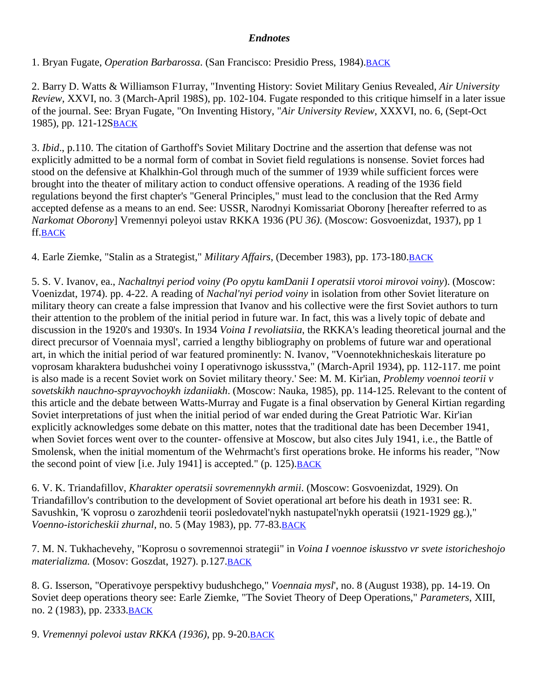## *Endnotes*

1. Bryan Fugate, *Operation Barbarossa*. (San Francisco: Presidio Press, 1984). **BACK** 

2. Barry D. Watts & Williamson F1urray, "Inventing History: Soviet Military Genius Revealed, *Air University Review*, XXVI, no. 3 (March-April 198S), pp. 102-104. Fugate responded to this critique himself in a later issue of the journal. See: Bryan Fugate, "On Inventing History, "*Air University Review*, XXXVI, no. 6, (Sept-Oct 1985), pp. 121-12[SBACK](http://fmso.leavenworth.army.mil/documents/barbaros.htm#2a)

3. *Ibid*., p.110. The citation of Garthoff's Soviet Military Doctrine and the assertion that defense was not explicitly admitted to be a normal form of combat in Soviet field regulations is nonsense. Soviet forces had stood on the defensive at Khalkhin-Gol through much of the summer of 1939 while sufficient forces were brought into the theater of military action to conduct offensive operations. A reading of the 1936 field regulations beyond the first chapter's "General Principles," must lead to the conclusion that the Red Army accepted defense as a means to an end. See: USSR, Narodnyi Komissariat Oborony [hereafter referred to as *Narkomat Oborony*] Vremennyi poleyoi ustav RKKA 1936 (PU *36)*. (Moscow: Gosvoenizdat, 1937), pp 1 ff[.BACK](http://fmso.leavenworth.army.mil/documents/barbaros.htm#3a)

4. Earle Ziemke, "Stalin as a Strategist," *Military Affairs*, (December 1983), pp. 173-180[.BACK](http://fmso.leavenworth.army.mil/documents/barbaros.htm#4a)

5. S. V. Ivanov, ea., *Nachaltnyi period voiny (Po opytu kamDanii I operatsii vtoroi mirovoi voiny*). (Moscow: Voenizdat, 1974). pp. 4-22. A reading of *Nachal'nyi period voiny* in isolation from other Soviet literature on military theory can create a false impression that Ivanov and his collective were the first Soviet authors to turn their attention to the problem of the initial period in future war. In fact, this was a lively topic of debate and discussion in the 1920's and 1930's. In 1934 *Voina I revoliatsiia*, the RKKA's leading theoretical journal and the direct precursor of Voennaia mysl', carried a lengthy bibliography on problems of future war and operational art, in which the initial period of war featured prominently: N. Ivanov, "Voennotekhnicheskais literature po voprosam kharaktera budushchei voiny I operativnogo iskussstva," (March-April 1934), pp. 112-117. me point is also made is a recent Soviet work on Soviet military theory.' See: M. M. Kir'ian, *Problemy voennoi teorii v sovetskikh nauchno-sprayvochoykh izdaniiakh*. (Moscow: Nauka, 1985), pp. 114-125. Relevant to the content of this article and the debate between Watts-Murray and Fugate is a final observation by General Kirtian regarding Soviet interpretations of just when the initial period of war ended during the Great Patriotic War. Kir'ian explicitly acknowledges some debate on this matter, notes that the traditional date has been December 1941, when Soviet forces went over to the counter- offensive at Moscow, but also cites July 1941, i.e., the Battle of Smolensk, when the initial momentum of the Wehrmacht's first operations broke. He informs his reader, "Now the second point of view [i.e. July 1941] is accepted."  $(p. 125)$ . BACK

6. V. K. Triandafillov, *Kharakter operatsii sovremennykh armii*. (Moscow: Gosvoenizdat, 1929). On Triandafillov's contribution to the development of Soviet operational art before his death in 1931 see: R. Savushkin, 'K voprosu o zarozhdenii teorii posledovatel'nykh nastupatel'nykh operatsii (1921-1929 gg.)," *Voenno-istoricheskii zhurnal*, no. 5 (May 1983), pp. 77-83[.BACK](http://fmso.leavenworth.army.mil/documents/barbaros.htm#6a)

7. M. N. Tukhachevehy, "Koprosu o sovremennoi strategii" in *Voina I voennoe iskusstvo vr svete istoricheshojo materializma.* (Mosov: Goszdat, 1927). p.127[.BACK](http://fmso.leavenworth.army.mil/documents/barbaros.htm#7a)

8. G. Isserson, "Operativoye perspektivy budushchego," *Voennaia mysl*', no. 8 (August 1938), pp. 14-19. On Soviet deep operations theory see: Earle Ziemke, "The Soviet Theory of Deep Operations," *Parameters*, XIII, no. 2 (1983), pp. 2333[.BACK](http://fmso.leavenworth.army.mil/documents/barbaros.htm#8a)

9. *Vremennyi polevoi ustav RKKA (1936)*, pp. 9-20[.BACK](http://fmso.leavenworth.army.mil/documents/barbaros.htm#9a)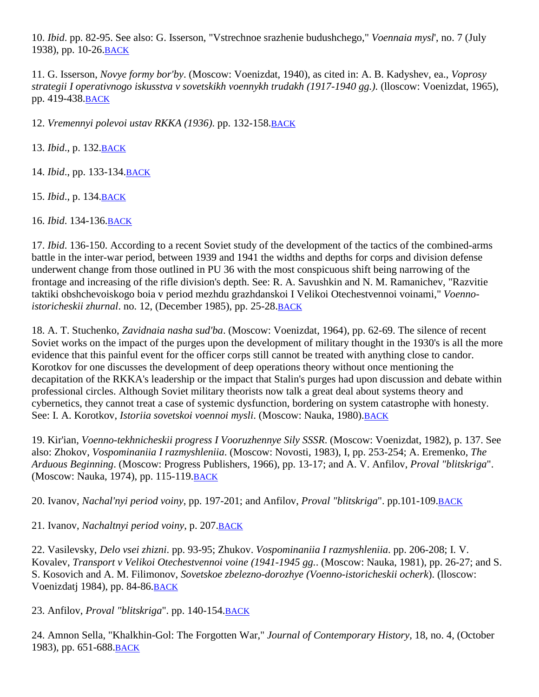10. *Ibid*. pp. 82-95. See also: G. Isserson, "Vstrechnoe srazhenie budushchego," *Voennaia mysl*', no. 7 (July 1938), pp. 10-26[.BACK](http://fmso.leavenworth.army.mil/documents/barbaros.htm#10a)

11. G. Isserson, *Novye formy bor'by*. (Moscow: Voenizdat, 1940), as cited in: A. B. Kadyshev, ea., *Voprosy strategii I operativnogo iskusstva v sovetskikh voennykh trudakh (1917-1940 gg.)*. (lloscow: Voenizdat, 1965), pp. 419-438[.BACK](http://fmso.leavenworth.army.mil/documents/barbaros.htm#11a)

12. *Vremennyi polevoi ustav RKKA (1936)*. pp. 132-158[.BACK](http://fmso.leavenworth.army.mil/documents/barbaros.htm#12a)

13. *Ibid*., p. 132[.BACK](http://fmso.leavenworth.army.mil/documents/barbaros.htm#13a)

14. *Ibid*., pp. 133-134[.BACK](http://fmso.leavenworth.army.mil/documents/barbaros.htm#14a)

15. *Ibid*., p. 134[.BACK](http://fmso.leavenworth.army.mil/documents/barbaros.htm#15a)

16. *Ibid*. 134-136[.BACK](http://fmso.leavenworth.army.mil/documents/barbaros.htm#16a)

17. *Ibid*. 136-150. According to a recent Soviet study of the development of the tactics of the combined-arms battle in the inter-war period, between 1939 and 1941 the widths and depths for corps and division defense underwent change from those outlined in PU 36 with the most conspicuous shift being narrowing of the frontage and increasing of the rifle division's depth. See: R. A. Savushkin and N. M. Ramanichev, "Razvitie taktiki obshchevoiskogo boia v period mezhdu grazhdanskoi I Velikoi Otechestvennoi voinami," *Voennoistoricheskii zhurnal*. no. 12, (December 1985), pp. 25-28[.BACK](http://fmso.leavenworth.army.mil/documents/barbaros.htm#17a)

18. A. T. Stuchenko, *Zavidnaia nasha sud'ba*. (Moscow: Voenizdat, 1964), pp. 62-69. The silence of recent Soviet works on the impact of the purges upon the development of military thought in the 1930's is all the more evidence that this painful event for the officer corps still cannot be treated with anything close to candor. Korotkov for one discusses the development of deep operations theory without once mentioning the decapitation of the RKKA's leadership or the impact that Stalin's purges had upon discussion and debate within professional circles. Although Soviet military theorists now talk a great deal about systems theory and cybernetics, they cannot treat a case of systemic dysfunction, bordering on system catastrophe with honesty. See: I. A. Korotkov, *Istoriia sovetskoi voennoi mysli*. (Moscow: Nauka, 1980)[.BACK](http://fmso.leavenworth.army.mil/documents/barbaros.htm#18a)

19. Kir'ian, *Voenno-tekhnicheskii progress I Vooruzhennye Sily SSSR*. (Moscow: Voenizdat, 1982), p. 137. See also: Zhokov, *Vospominaniia I razmyshleniia*. (Moscow: Novosti, 1983), I, pp. 253-254; A. Eremenko, *The Arduous Beginning*. (Moscow: Progress Publishers, 1966), pp. 13-17; and A. V. Anfilov, *Proval "blitskriga*". (Moscow: Nauka, 1974), pp. 115-119[.BACK](http://fmso.leavenworth.army.mil/documents/barbaros.htm#19a)

20. Ivanov, *Nachal'nyi period voiny*, pp. 197-201; and Anfilov, *Proval "blitskriga*". pp.101-109[.BACK](http://fmso.leavenworth.army.mil/documents/barbaros.htm#20a)

21. Ivanov, *Nachaltnyi period voiny*, p. 207[.BACK](http://fmso.leavenworth.army.mil/documents/barbaros.htm#21a)

22. Vasilevsky, *Delo vsei zhizni*. pp. 93-95; Zhukov. *Vospominaniia I razmyshleniia*. pp. 206-208; I. V. Kovalev, *Transport v Velikoi Otechestvennoi voine (1941-1945 gg.*. (Moscow: Nauka, 1981), pp. 26-27; and S. S. Kosovich and A. M. Filimonov, *Sovetskoe zbelezno-dorozhye (Voenno-istoricheskii ocherk*). (lloscow: Voenizdatj 1984), pp. 84-86[.BACK](http://fmso.leavenworth.army.mil/documents/barbaros.htm#22a)

23. Anfilov, *Proval "blitskriga*". pp. 140-154[.BACK](http://fmso.leavenworth.army.mil/documents/barbaros.htm#23a)

24. Amnon Sella, "Khalkhin-Gol: The Forgotten War," *Journal of Contemporary History,* 18, no. 4, (October 1983), pp. 651-688. BACK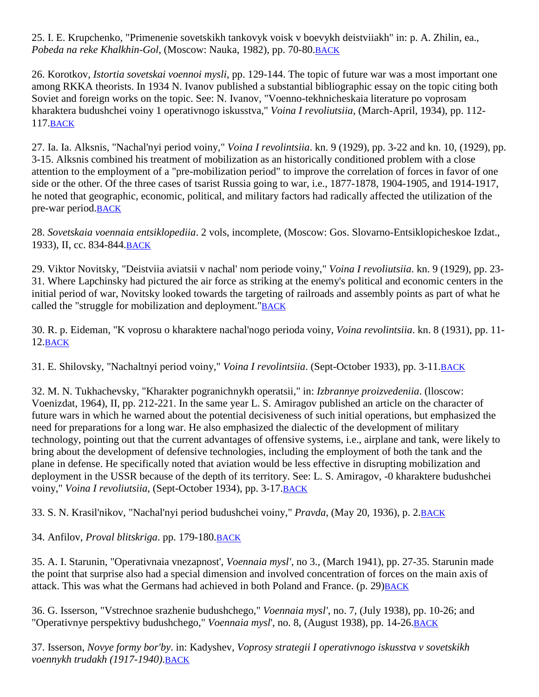25. I. E. Krupchenko, "Primenenie sovetskikh tankovyk voisk v boevykh deistviiakh" in: p. A. Zhilin, ea., *Pobeda na reke Khalkhin-Gol*, (Moscow: Nauka, 1982), pp. 70-80[.BACK](http://fmso.leavenworth.army.mil/documents/barbaros.htm#25a)

26. Korotkov, *Istortia sovetskai voennoi mysli*, pp. 129-144. The topic of future war was a most important one among RKKA theorists. In 1934 N. Ivanov published a substantial bibliographic essay on the topic citing both Soviet and foreign works on the topic. See: N. Ivanov, "Voenno-tekhnicheskaia literature po voprosam kharaktera budushchei voiny 1 operativnogo iskusstva," *Voina I revoliutsiia*, (March-April, 1934), pp. 112- 117[.BACK](http://fmso.leavenworth.army.mil/documents/barbaros.htm#26a)

27. Ia. Ia. Alksnis, "Nachal'nyi period voiny," *Voina I revolintsiia*. kn. 9 (1929), pp. 3-22 and kn. 10, (1929), pp. 3-15. Alksnis combined his treatment of mobilization as an historically conditioned problem with a close attention to the employment of a "pre-mobilization period" to improve the correlation of forces in favor of one side or the other. Of the three cases of tsarist Russia going to war, i.e., 1877-1878, 1904-1905, and 1914-1917, he noted that geographic, economic, political, and military factors had radically affected the utilization of the pre-war period[.BACK](http://fmso.leavenworth.army.mil/documents/barbaros.htm#27a)

28. *Sovetskaia voennaia entsiklopediia*. 2 vols, incomplete, (Moscow: Gos. Slovarno-Entsiklopicheskoe Izdat., 1933), II, cc. 834-844[.BACK](http://fmso.leavenworth.army.mil/documents/barbaros.htm#28a)

29. Viktor Novitsky, "Deistviia aviatsii v nachal' nom periode voiny," *Voina I revoliutsiia*. kn. 9 (1929), pp. 23- 31. Where Lapchinsky had pictured the air force as striking at the enemy's political and economic centers in the initial period of war, Novitsky looked towards the targeting of railroads and assembly points as part of what he called the "struggle for mobilization and deployment.["BACK](http://fmso.leavenworth.army.mil/documents/barbaros.htm#29a)

30. R. p. Eideman, "K voprosu o kharaktere nachal'nogo perioda voiny, *Voina revolintsiia*. kn. 8 (1931), pp. 11- 12[.BACK](http://fmso.leavenworth.army.mil/documents/barbaros.htm#30a)

31. E. Shilovsky, "Nachaltnyi period voiny," *Voina I revolintsiia*. (Sept-October 1933), pp. 3-11[.BACK](http://fmso.leavenworth.army.mil/documents/barbaros.htm#31a)

32. M. N. Tukhachevsky, "Kharakter pogranichnykh operatsii," in: *Izbrannye proizvedeniia*. (lloscow: Voenizdat, 1964), II, pp. 212-221. In the same year L. S. Amiragov published an article on the character of future wars in which he warned about the potential decisiveness of such initial operations, but emphasized the need for preparations for a long war. He also emphasized the dialectic of the development of military technology, pointing out that the current advantages of offensive systems, i.e., airplane and tank, were likely to bring about the development of defensive technologies, including the employment of both the tank and the plane in defense. He specifically noted that aviation would be less effective in disrupting mobilization and deployment in the USSR because of the depth of its territory. See: L. S. Amiragov, -0 kharaktere budushchei voiny," *Voina I revoliutsiia*, (Sept-October 1934), pp. 3-17. **BACK** 

33. S. N. Krasil'nikov, "Nachal'nyi period budushchei voiny," *Pravda*, (May 20, 1936), p. 2[.BACK](http://fmso.leavenworth.army.mil/documents/barbaros.htm#33a)

34. Anfilov, *Proval blitskriga*. pp. 179-180[.BACK](http://fmso.leavenworth.army.mil/documents/barbaros.htm#34a)

35. A. I. Starunin, "Operativnaia vnezapnost', *Voennaia mysl'*, no 3., (March 1941), pp. 27-35. Starunin made the point that surprise also had a special dimension and involved concentration of forces on the main axis of attack. This was what the Germans had achieved in both Poland and France.  $(p. 29)$ BACK

36. G. Isserson, "Vstrechnoe srazhenie budushchego," *Voennaia mysl'*, no. 7, (July 1938), pp. 10-26; and "Operativnye perspektivy budushchego," *Voennaia mysl*', no. 8, (August 1938), pp. 14-26. BACK

37. Isserson, *Novye formy bor'by*. in: Kadyshev, *Voprosy strategii I operativnogo iskusstva v sovetskikh voennykh trudakh (1917-1940)*[.BACK](http://fmso.leavenworth.army.mil/documents/barbaros.htm#37a)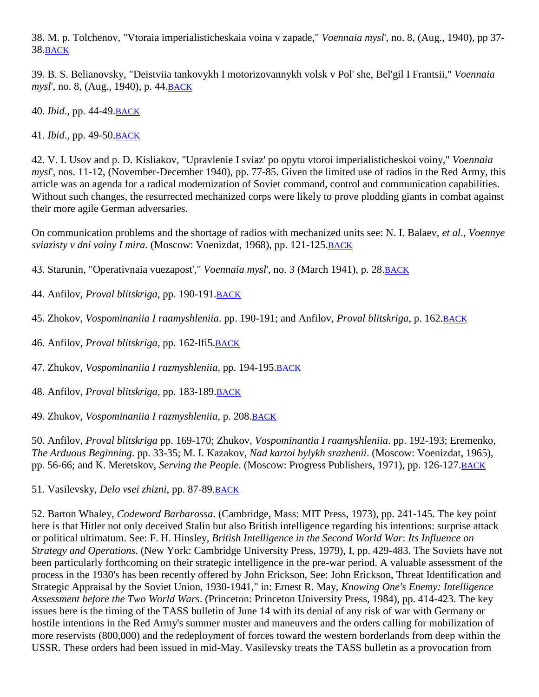38. M. p. Tolchenov, "Vtoraia imperialisticheskaia voina v zapade," *Voennaia mysl*', no. 8, (Aug., 1940), pp 37- 38[.BACK](http://fmso.leavenworth.army.mil/documents/barbaros.htm#38a)

39. B. S. Belianovsky, "Deistviia tankovykh I motorizovannykh volsk v Pol' she, Bel'gil I Frantsii," *Voennaia mysl*', no. 8, (Aug., 1940), p. 44[.BACK](http://fmso.leavenworth.army.mil/documents/barbaros.htm#39a)

40. *Ibid*., pp. 44-49[.BACK](http://fmso.leavenworth.army.mil/documents/barbaros.htm#40a)

41. *Ibid*., pp. 49-50[.BACK](http://fmso.leavenworth.army.mil/documents/barbaros.htm#41a)

42. V. I. Usov and p. D. Kisliakov, "Upravlenie I sviaz' po opytu vtoroi imperialisticheskoi voiny," *Voennaia mysl*', nos. 11-12, (November-December 1940), pp. 77-85. Given the limited use of radios in the Red Army, this article was an agenda for a radical modernization of Soviet command, control and communication capabilities. Without such changes, the resurrected mechanized corps were likely to prove plodding giants in combat against their more agile German adversaries.

On communication problems and the shortage of radios with mechanized units see: N. I. Balaev, *et al*., *Voennye sviazisty v dni voiny I mira*. (Moscow: Voenizdat, 1968), pp. 121-125[.BACK](http://fmso.leavenworth.army.mil/documents/barbaros.htm#42a)

43. Starunin, "Operativnaia vuezapost'," *Voennaia mysl*', no. 3 (March 1941), p. 28. BACK

44. Anfilov, *Proval blitskriga*, pp. 190-191[.BACK](http://fmso.leavenworth.army.mil/documents/barbaros.htm#44a)

45. Zhokov, *Vospominaniia I raamyshleniia*. pp. 190-191; and Anfilov, *Proval blitskriga*, p. 162[.BACK](http://fmso.leavenworth.army.mil/documents/barbaros.htm#45a)

46. Anfilov, *Proval blitskriga*, pp. 162-lfi5[.BACK](http://fmso.leavenworth.army.mil/documents/barbaros.htm#46a)

47. Zhukov, *Vospominaniia I razmyshleniia*, pp. 194-195. BACK

48. Anfilov, *Proval blitskriga*, pp. 183-189. BACK

49. Zhukov, *Vospominaniia I razmyshleniia*, p. 208[.BACK](http://fmso.leavenworth.army.mil/documents/barbaros.htm#49a)

50. Anfilov, *Proval blitskriga* pp. 169-170; Zhukov, *Vospominantia I raamyshleniia*. pp. 192-193; Eremenko, *The Arduous Beginning*. pp. 33-35; M. I. Kazakov, *Nad kartoi bylykh srazhenii*. (Moscow: Voenizdat, 1965), pp. 56-66; and K. Meretskov, *Serving the People*. (Moscow: Progress Publishers, 1971), pp. 126-127[.BACK](http://fmso.leavenworth.army.mil/documents/barbaros.htm#50a)

51. Vasilevsky, *Delo vsei zhizni*, pp. 87-89[.BACK](http://fmso.leavenworth.army.mil/documents/barbaros.htm#51a)

52. Barton Whaley, *Codeword Barbarossa*. (Cambridge, Mass: MIT Press, 1973), pp. 241-145. The key point here is that Hitler not only deceived Stalin but also British intelligence regarding his intentions: surprise attack or political ultimatum. See: F. H. Hinsley, *British Intelligence in the Second World War*: *Its Influence on Strategy and Operations*. (New York: Cambridge University Press, 1979), I, pp. 429-483. The Soviets have not been particularly forthcoming on their strategic intelligence in the pre-war period. A valuable assessment of the process in the 1930's has been recently offered by John Erickson, See: John Erickson, Threat Identification and Strategic Appraisal by the Soviet Union, 1930-1941," in: Ernest R. May, *Knowing One's Enemy: Intelligence Assessment before the Two World Wars*. (Princeton: Princeton University Press, 1984), pp. 414-423. The key issues here is the timing of the TASS bulletin of June 14 with its denial of any risk of war with Germany or hostile intentions in the Red Army's summer muster and maneuvers and the orders calling for mobilization of more reservists (800,000) and the redeployment of forces toward the western borderlands from deep within the USSR. These orders had been issued in mid-May. Vasilevsky treats the TASS bulletin as a provocation from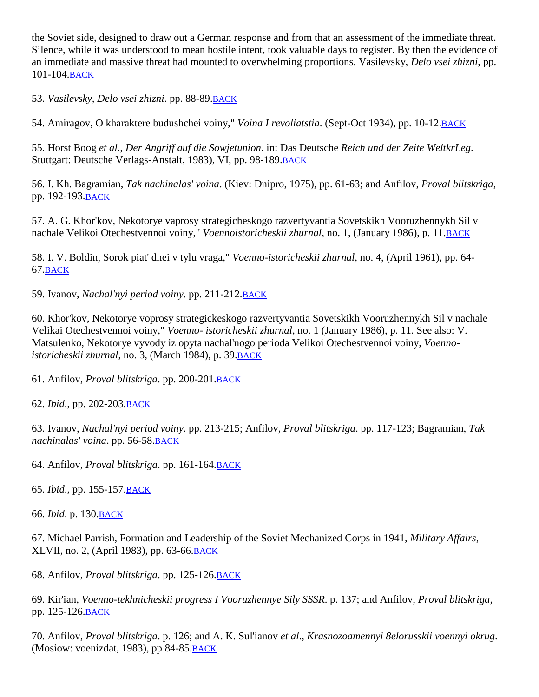the Soviet side, designed to draw out a German response and from that an assessment of the immediate threat. Silence, while it was understood to mean hostile intent, took valuable days to register. By then the evidence of an immediate and massive threat had mounted to overwhelming proportions. Vasilevsky, *Delo vsei zhizni*, pp. 101-104[.BACK](http://fmso.leavenworth.army.mil/documents/barbaros.htm#52a)

53. *Vasilevsky, Delo vsei zhizni*. pp. 88-89[.BACK](http://fmso.leavenworth.army.mil/documents/barbaros.htm#53a)

54. Amiragov, O kharaktere budushchei voiny," *Voina I revoliatstia*. (Sept-Oct 1934), pp. 10-12[.BACK](http://fmso.leavenworth.army.mil/documents/barbaros.htm#54a)

55. Horst Boog *et al*., *Der Angriff auf die Sowjetunion*. in: Das Deutsche *Reich und der Zeite WeltkrLeg*. Stuttgart: Deutsche Verlags-Anstalt, 1983), VI, pp. 98-189[.BACK](http://fmso.leavenworth.army.mil/documents/barbaros.htm#55a)

56. I. Kh. Bagramian, *Tak nachinalas' voina*. (Kiev: Dnipro, 1975), pp. 61-63; and Anfilov, *Proval blitskriga*, pp. 192-193[.BACK](http://fmso.leavenworth.army.mil/documents/barbaros.htm#56a)

57. A. G. Khor'kov, Nekotorye vaprosy strategicheskogo razvertyvantia Sovetskikh Vooruzhennykh Sil v nachale Velikoi Otechestvennoi voiny," *Voennoistoricheskii zhurnal*, no. 1, (January 1986), p. 11[.BACK](http://fmso.leavenworth.army.mil/documents/barbaros.htm#57a)

58. I. V. Boldin, Sorok piat' dnei v tylu vraga," *Voenno-istoricheskii zhurnal*, no. 4, (April 1961), pp. 64- 67[.BACK](http://fmso.leavenworth.army.mil/documents/barbaros.htm#58a)

59. Ivanov, *Nachal'nyi period voiny*. pp. 211-212. **BACK** 

60. Khor'kov, Nekotorye voprosy strategickeskogo razvertyvantia Sovetskikh Vooruzhennykh Sil v nachale Velikai Otechestvennoi voiny," *Voenno- istoricheskii zhurnal*, no. 1 (January 1986), p. 11. See also: V. Matsulenko, Nekotorye vyvody iz opyta nachal'nogo perioda Velikoi Otechestvennoi voiny, *Voennoistoricheskii zhurnal*, no. 3, (March 1984), p. 39[.BACK](http://fmso.leavenworth.army.mil/documents/barbaros.htm#60a)

61. Anfilov, *Proval blitskriga*. pp. 200-201[.BACK](http://fmso.leavenworth.army.mil/documents/barbaros.htm#61a)

62. *Ibid*., pp. 202-203[.BACK](http://fmso.leavenworth.army.mil/documents/barbaros.htm#62a)

63. Ivanov, *Nachal'nyi period voiny*. pp. 213-215; Anfilov, *Proval blitskriga*. pp. 117-123; Bagramian, *Tak nachinalas' voina*. pp. 56-58[.BACK](http://fmso.leavenworth.army.mil/documents/barbaros.htm#63a)

64. Anfilov, *Proval blitskriga*. pp. 161-164[.BACK](http://fmso.leavenworth.army.mil/documents/barbaros.htm#64a)

65. *Ibid*., pp. 155-157[.BACK](http://fmso.leavenworth.army.mil/documents/barbaros.htm#65a)

66. *Ibid*. p. 130[.BACK](http://fmso.leavenworth.army.mil/documents/barbaros.htm#66a)

67. Michael Parrish, Formation and Leadership of the Soviet Mechanized Corps in 1941, *Military Affairs*, XLVII, no. 2, (April 1983), pp. 63-66[.BACK](http://fmso.leavenworth.army.mil/documents/barbaros.htm#67a)

68. Anfilov, *Proval blitskriga*. pp. 125-126[.BACK](http://fmso.leavenworth.army.mil/documents/barbaros.htm#68a)

69. Kir'ian, *Voenno-tekhnicheskii progress I Vooruzhennye Sily SSSR*. p. 137; and Anfilov, *Proval blitskriga*, pp. 125-126[.BACK](http://fmso.leavenworth.army.mil/documents/barbaros.htm#69a)

70. Anfilov, *Proval blitskriga*. p. 126; and A. K. Sul'ianov *et al*., *Krasnozoamennyi 8elorusskii voennyi okrug*. (Mosiow: voenizdat, 1983), pp 84-85. BACK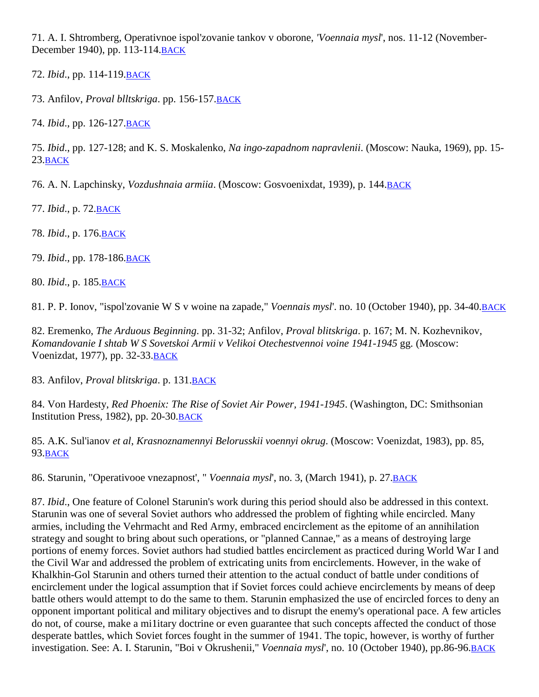71. A. I. Shtromberg, Operativnoe ispol'zovanie tankov v oborone, *'Voennaia mysl*', nos. 11-12 (November-December 1940), pp. 113-114[.BACK](http://fmso.leavenworth.army.mil/documents/barbaros.htm#71a)

72. *Ibid*., pp. 114-119[.BACK](http://fmso.leavenworth.army.mil/documents/barbaros.htm#72a)

73. Anfilov, *Proval blltskriga*. pp. 156-157[.BACK](http://fmso.leavenworth.army.mil/documents/barbaros.htm#73a)

74. *Ibid*., pp. 126-127[.BACK](http://fmso.leavenworth.army.mil/documents/barbaros.htm#74a)

75. *Ibid*., pp. 127-128; and K. S. Moskalenko, *Na ingo-zapadnom napravlenii*. (Moscow: Nauka, 1969), pp. 15- 23[.BACK](http://fmso.leavenworth.army.mil/documents/barbaros.htm#75a)

76. A. N. Lapchinsky, *Vozdushnaia armiia*. (Moscow: Gosvoenixdat, 1939), p. 144[.BACK](http://fmso.leavenworth.army.mil/documents/barbaros.htm#76a)

77. *Ibid*., p. 72[.BACK](http://fmso.leavenworth.army.mil/documents/barbaros.htm#77a)

78. *Ibid*., p. 176[.BACK](http://fmso.leavenworth.army.mil/documents/barbaros.htm#78a)

79. *Ibid*., pp. 178-186[.BACK](http://fmso.leavenworth.army.mil/documents/barbaros.htm#79a)

80. *Ibid*., p. 185[.BACK](http://fmso.leavenworth.army.mil/documents/barbaros.htm#80a)

81. P. P. Ionov, "ispol'zovanie W S v woine na zapade," *Voennais mysl*'. no. 10 (October 1940), pp. 34-40[.BACK](http://fmso.leavenworth.army.mil/documents/barbaros.htm#81a)

82. Eremenko, *The Arduous Beginning*. pp. 31-32; Anfilov, *Proval blitskriga*. p. 167; M. N. Kozhevnikov, *Komandovanie I shtab W S Sovetskoi Armii v Velikoi Otechestvennoi voine 1941-1945* gg. (Moscow: Voenizdat, 1977), pp. 32-33[.BACK](http://fmso.leavenworth.army.mil/documents/barbaros.htm#82a)

83. Anfilov, *Proval blitskriga*. p. 131[.BACK](http://fmso.leavenworth.army.mil/documents/barbaros.htm#83a)

84. Von Hardesty, *Red Phoenix: The Rise of Soviet Air Power, 1941-1945*. (Washington, DC: Smithsonian Institution Press, 1982), pp. 20-30[.BACK](http://fmso.leavenworth.army.mil/documents/barbaros.htm#84a)

85. A.K. Sul'ianov *et al*, *Krasnoznamennyi Belorusskii voennyi okrug*. (Moscow: Voenizdat, 1983), pp. 85, 93[.BACK](http://fmso.leavenworth.army.mil/documents/barbaros.htm#85a)

86. Starunin, "Operativooe vnezapnost', " *Voennaia mysl*', no. 3, (March 1941), p. 27[.BACK](http://fmso.leavenworth.army.mil/documents/barbaros.htm#86a)

87. *Ibid*., One feature of Colonel Starunin's work during this period should also be addressed in this context. Starunin was one of several Soviet authors who addressed the problem of fighting while encircled. Many armies, including the Vehrmacht and Red Army, embraced encirclement as the epitome of an annihilation strategy and sought to bring about such operations, or "planned Cannae," as a means of destroying large portions of enemy forces. Soviet authors had studied battles encirclement as practiced during World War I and the Civil War and addressed the problem of extricating units from encirclements. However, in the wake of Khalkhin-Gol Starunin and others turned their attention to the actual conduct of battle under conditions of encirclement under the logical assumption that if Soviet forces could achieve encirclements by means of deep battle others would attempt to do the same to them. Starunin emphasized the use of encircled forces to deny an opponent important political and military objectives and to disrupt the enemy's operational pace. A few articles do not, of course, make a mi1itary doctrine or even guarantee that such concepts affected the conduct of those desperate battles, which Soviet forces fought in the summer of 1941. The topic, however, is worthy of further investigation. See: A. I. Starunin, "Boi v Okrushenii," *Voennaia mysl*', no. 10 (October 1940), pp.86-96[.BACK](http://fmso.leavenworth.army.mil/documents/barbaros.htm#87a)